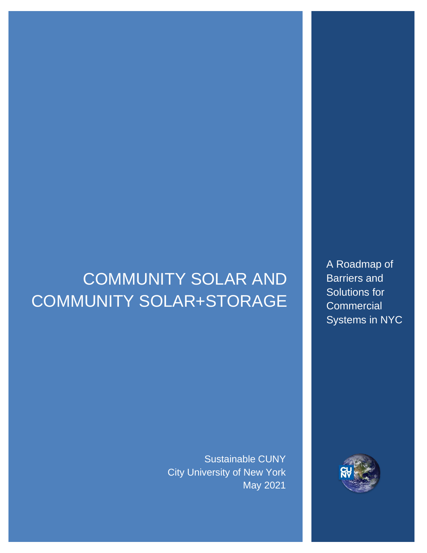# COMMUNITY SOLAR AND COMMUNITY SOLAR+STORAGE

Sustainable CUNY City University of New York May 2021

A Roadmap of Barriers and Solutions for **Commercial** Systems in NYC

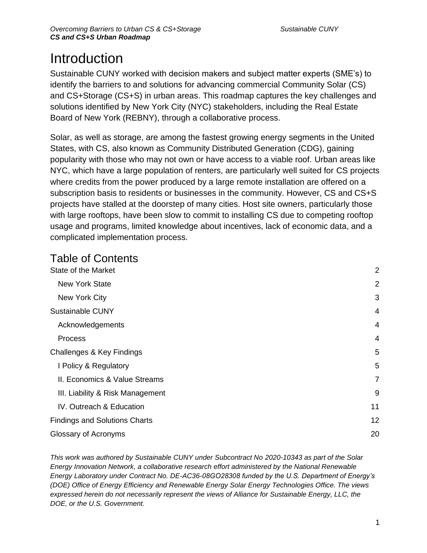## **Introduction**

Sustainable CUNY worked with decision makers and subject matter experts (SME's) to identify the barriers to and solutions for advancing commercial Community Solar (CS) and CS+Storage (CS+S) in urban areas. This roadmap captures the key challenges and solutions identified by New York City (NYC) stakeholders, including the Real Estate Board of New York (REBNY), through a collaborative process.

Solar, as well as storage, are among the fastest growing energy segments in the United States, with CS, also known as Community Distributed Generation (CDG), gaining popularity with those who may not own or have access to a viable roof. Urban areas like NYC, which have a large population of renters, are particularly well suited for CS projects where credits from the power produced by a large remote installation are offered on a subscription basis to residents or businesses in the community. However, CS and CS+S projects have stalled at the doorstep of many cities. Host site owners, particularly those with large rooftops, have been slow to commit to installing CS due to competing rooftop usage and programs, limited knowledge about incentives, lack of economic data, and a complicated implementation process.

## Table of Contents

| State of the Market                  | $\overline{2}$ |
|--------------------------------------|----------------|
| <b>New York State</b>                | 2              |
| New York City                        | 3              |
| <b>Sustainable CUNY</b>              | 4              |
| Acknowledgements                     | 4              |
| Process                              | 4              |
| Challenges & Key Findings            | 5              |
| I Policy & Regulatory                | 5              |
| II. Economics & Value Streams        | $\overline{7}$ |
| III. Liability & Risk Management     | 9              |
| IV. Outreach & Education             | 11             |
| <b>Findings and Solutions Charts</b> | 12             |
| Glossary of Acronyms                 | 20             |

*This work was authored by Sustainable CUNY under Subcontract No 2020-10343 as part of the Solar Energy Innovation Network, a collaborative research effort administered by the National Renewable Energy Laboratory under Contract No. DE-AC36-08GO28308 funded by the U.S. Department of Energy's (DOE) Office of Energy Efficiency and Renewable Energy Solar Energy Technologies Office. The views expressed herein do not necessarily represent the views of Alliance for Sustainable Energy, LLC, the DOE, or the U.S. Government.*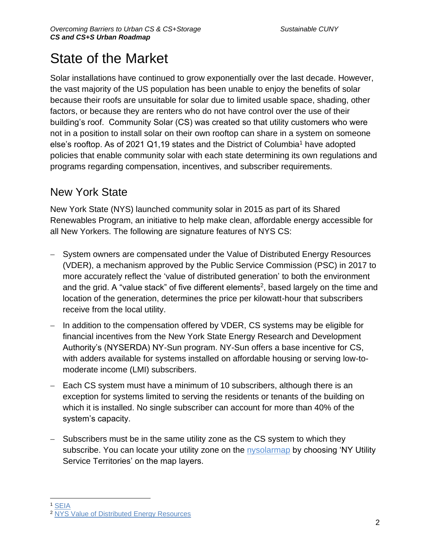## State of the Market

Solar installations have continued to grow exponentially over the last decade. However, the vast majority of the US population has been unable to enjoy the benefits of solar because their roofs are unsuitable for solar due to limited usable space, shading, other factors, or because they are renters who do not have control over the use of their building's roof. Community Solar (CS) was created so that utility customers who were not in a position to install solar on their own rooftop can share in a system on someone else's rooftop. As of 2021 Q1,19 states and the District of Columbia<sup>1</sup> have adopted policies that enable community solar with each state determining its own regulations and programs regarding compensation, incentives, and subscriber requirements.

## New York State

New York State (NYS) launched community solar in 2015 as part of its Shared Renewables Program, an initiative to help make clean, affordable energy accessible for all New Yorkers. The following are signature features of NYS CS:

- − System owners are compensated under the Value of Distributed Energy Resources (VDER), a mechanism approved by the Public Service Commission (PSC) in 2017 to more accurately reflect the 'value of distributed generation' to both the environment and the grid. A "value stack" of five different elements<sup>2</sup>, based largely on the time and location of the generation, determines the price per kilowatt-hour that subscribers receive from the local utility.
- − In addition to the compensation offered by VDER, CS systems may be eligible for financial incentives from the New York State Energy Research and Development Authority's (NYSERDA) NY-Sun program. NY-Sun offers a base incentive for CS, with adders available for systems installed on affordable housing or serving low-tomoderate income (LMI) subscribers.
- − Each CS system must have a minimum of 10 subscribers, although there is an exception for systems limited to serving the residents or tenants of the building on which it is installed. No single subscriber can account for more than 40% of the system's capacity.
- − Subscribers must be in the same utility zone as the CS system to which they subscribe. You can locate your utility zone on the [nysolarmap](https://nysolarmap.com/) by choosing 'NY Utility Service Territories' on the map layers.

<sup>1</sup> [SEIA](https://www.seia.org/initiatives/community-solar)

<sup>2</sup> [NYS Value of Distributed Energy Resources](https://www.nyserda.ny.gov/All%20Programs/Programs/NY%20Sun/Contractors/Value%20of%20Distributed%20Energy%20Resources)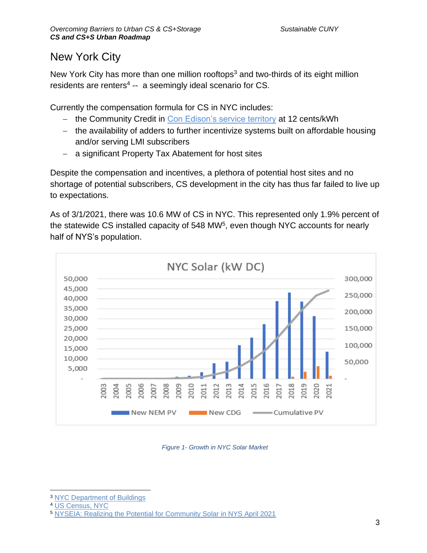## New York City

New York City has more than one million rooftops<sup>3</sup> and two-thirds of its eight million residents are renters<sup>4</sup> -- a seemingly ideal scenario for CS.

Currently the compensation formula for CS in NYC includes:

- − the Community Credit in [Con Edison's service territory](https://www.coned.com/en/business-partners/service-territories) at 12 cents/kWh
- − the availability of adders to further incentivize systems built on affordable housing and/or serving LMI subscribers
- − a significant Property Tax Abatement for host sites

Despite the compensation and incentives, a plethora of potential host sites and no shortage of potential subscribers, CS development in the city has thus far failed to live up to expectations.

As of 3/1/2021, there was 10.6 MW of CS in NYC. This represented only 1.9% percent of the statewide CS installed capacity of 548 MW $5$ , even though NYC accounts for nearly half of NYS's population.



#### *Figure 1- Growth in NYC Solar Market*

<sup>3</sup> [NYC Department of Buildings](https://www1.nyc.gov/site/buildings/about/about.page)

<sup>4</sup> [US Census, NYC](https://www.census.gov/quickfacts/fact/table/newyorkcitynewyork/HSG860219)

<sup>5</sup> [NYSEIA: Realizing the Potential for Community Solar in NYS April 2021](https://49da7a77-7db8-45c2-8f29-58137f5c5afe.filesusr.com/ugd/a89dc9_a7fcad7b13754822b2652a965d6adaae.pdf)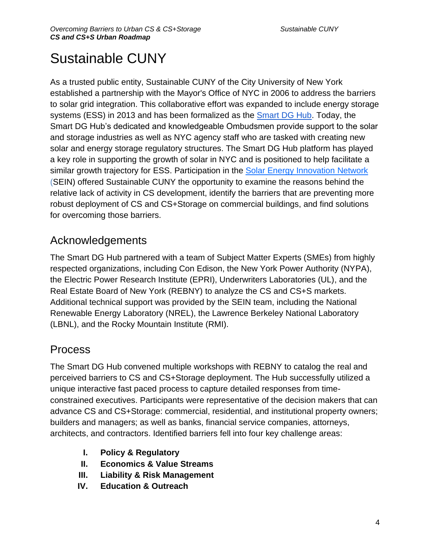## Sustainable CUNY

As a trusted public entity, Sustainable CUNY of the City University of New York established a partnership with the Mayor's Office of NYC in 2006 to address the barriers to solar grid integration. This collaborative effort was expanded to include energy storage systems (ESS) in 2013 and has been formalized as th[e](http://smartdghub.com/) [Smart DG Hub.](http://smartdghub.com/) Today, the Smart DG Hub's dedicated and knowledgeable Ombudsmen provide support to the solar and storage industries as well as NYC agency staff who are tasked with creating new solar and energy storage regulatory structures. The Smart DG Hub platform has played a key role in supporting the growth of solar in NYC and is positioned to help facilitate a similar growth trajectory for ESS. Participation in the [Solar Energy Innovation Network](https://www.nrel.gov/solar/solar-energy-innovation-network.html) (SEIN) offered Sustainable CUNY the opportunity to examine the reasons behind the relative lack of activity in CS development, identify the barriers that are preventing more robust deployment of CS and CS+Storage on commercial buildings, and find solutions for overcoming those barriers.

## Acknowledgements

The Smart DG Hub partnered with a team of Subject Matter Experts (SMEs) from highly respected organizations, including Con Edison, the New York Power Authority (NYPA), the Electric Power Research Institute (EPRI), Underwriters Laboratories (UL), and the Real Estate Board of New York (REBNY) to analyze the CS and CS+S markets. Additional technical support was provided by the SEIN team, including the National Renewable Energy Laboratory (NREL), the Lawrence Berkeley National Laboratory (LBNL), and the Rocky Mountain Institute (RMI).

## **Process**

The Smart DG Hub convened multiple workshops with REBNY to catalog the real and perceived barriers to CS and CS+Storage deployment. The Hub successfully utilized a unique interactive fast paced process to capture detailed responses from timeconstrained executives. Participants were representative of the decision makers that can advance CS and CS+Storage: commercial, residential, and institutional property owners; builders and managers; as well as banks, financial service companies, attorneys, architects, and contractors. Identified barriers fell into four key challenge areas:

- **I. Policy & Regulatory**
- **II. Economics & Value Streams**
- **III. Liability & Risk Management**
- **IV. Education & Outreach**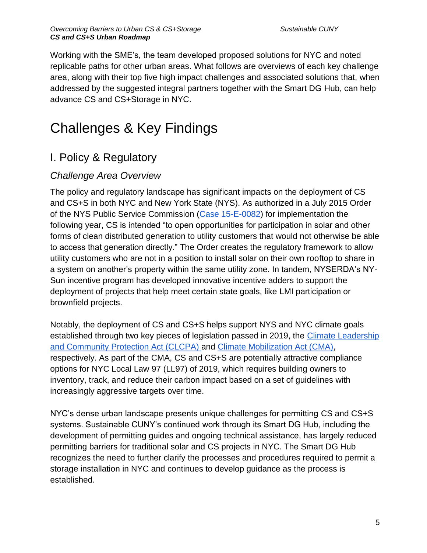Working with the SME's, the team developed proposed solutions for NYC and noted replicable paths for other urban areas. What follows are overviews of each key challenge area, along with their top five high impact challenges and associated solutions that, when addressed by the suggested integral partners together with the Smart DG Hub, can help advance CS and CS+Storage in NYC.

## Challenges & Key Findings

## I. Policy & Regulatory

## *Challenge Area Overview*

The policy and regulatory landscape has significant impacts on the deployment of CS and CS+S in both NYC and New York State (NYS). As authorized in a July 2015 Order of the NYS Public Service Commission [\(Case 15-E-0082\)](http://documents.dps.ny.gov/public/Common/ViewDoc.aspx?DocRefId=%7B76520435-25ED-4B84-8477-6433CE88DA86%7D) for implementation the following year, CS is intended "to open opportunities for participation in solar and other forms of clean distributed generation to utility customers that would not otherwise be able to access that generation directly." The Order creates the regulatory framework to allow utility customers who are not in a position to install solar on their own rooftop to share in a system on another's property within the same utility zone. In tandem, NYSERDA's NY-Sun incentive program has developed innovative incentive adders to support the deployment of projects that help meet certain state goals, like LMI participation or brownfield projects.

Notably, the deployment of CS and CS+S helps support NYS and NYC climate goals established through two key pieces of legislation passed in 2019, the [Climate Leadership](https://climate.ny.gov/)  [and Community Protection Act \(CLCPA\) a](https://climate.ny.gov/)nd [Climate Mobilization Act \(CMA\),](https://council.nyc.gov/data/green/) respectively. As part of the CMA, CS and CS+S are potentially attractive compliance options for NYC Local Law 97 (LL97) of 2019, which requires building owners to inventory, track, and reduce their carbon impact based on a set of guidelines with increasingly aggressive targets over time.

NYC's dense urban landscape presents unique challenges for permitting CS and CS+S systems. Sustainable CUNY's continued work through its Smart DG Hub, including the development of permitting guides and ongoing technical assistance, has largely reduced permitting barriers for traditional solar and CS projects in NYC. The Smart DG Hub recognizes the need to further clarify the processes and procedures required to permit a storage installation in NYC and continues to develop guidance as the process is established.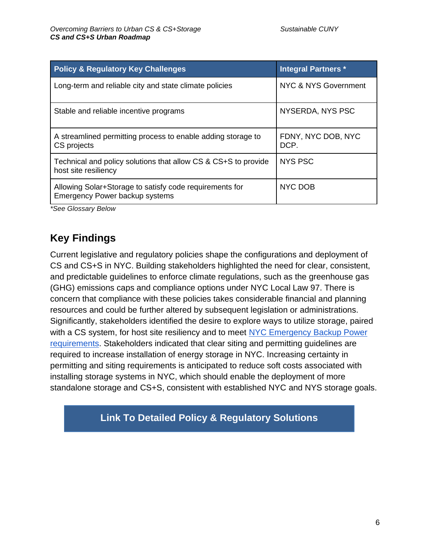| <b>Policy &amp; Regulatory Key Challenges</b>                                                    | <b>Integral Partners *</b> |
|--------------------------------------------------------------------------------------------------|----------------------------|
| Long-term and reliable city and state climate policies                                           | NYC & NYS Government       |
| Stable and reliable incentive programs                                                           | NYSERDA, NYS PSC           |
| A streamlined permitting process to enable adding storage to<br>CS projects                      | FDNY, NYC DOB, NYC<br>DCP. |
| Technical and policy solutions that allow CS & CS+S to provide<br>host site resiliency           | <b>NYS PSC</b>             |
| Allowing Solar+Storage to satisfy code requirements for<br><b>Emergency Power backup systems</b> | NYC DOB                    |

*\*See Glossary Below*

## **Key Findings**

Current legislative and regulatory policies shape the configurations and deployment of CS and CS+S in NYC. Building stakeholders highlighted the need for clear, consistent, and predictable guidelines to enforce climate regulations, such as the greenhouse gas (GHG) emissions caps and compliance options under NYC Local Law 97. There is concern that compliance with these policies takes considerable financial and planning resources and could be further altered by subsequent legislation or administrations. Significantly, stakeholders identified the desire to explore ways to utilize storage, paired with a CS system, for host site resiliency and to meet [NYC Emergency Backup Power](https://www1.nyc.gov/site/buildings/industry/project-requirements-design-professional-emergency-backup.page)  [requirements.](https://www1.nyc.gov/site/buildings/industry/project-requirements-design-professional-emergency-backup.page) Stakeholders indicated that clear siting and permitting guidelines are required to increase installation of energy storage in NYC. Increasing certainty in permitting and siting requirements is anticipated to reduce soft costs associated with installing storage systems in NYC, which should enable the deployment of more standalone storage and CS+S, consistent with established NYC and NYS storage goals.

**Link To Detailed Policy & Regulatory Solutions**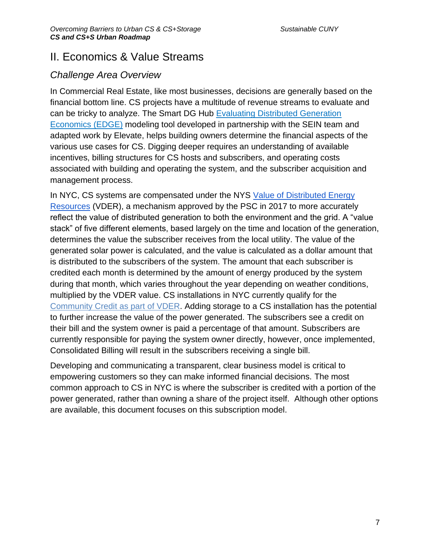## II. Economics & Value Streams

### *Challenge Area Overview*

In Commercial Real Estate, like most businesses, decisions are generally based on the financial bottom line. CS projects have a multitude of revenue streams to evaluate and can be tricky to analyze. The Smart DG Hub [Evaluating Distributed Generation](https://nysolarmap.com/resources/community-solar/)  [Economics \(EDGE\)](https://nysolarmap.com/resources/community-solar/) modeling tool developed in partnership with the SEIN team and adapted work by Elevate, helps building owners determine the financial aspects of the various use cases for CS. Digging deeper requires an understanding of available incentives, billing structures for CS hosts and subscribers, and operating costs associated with building and operating the system, and the subscriber acquisition and management process.

In NYC, CS systems are compensated under the NYS [Value of Distributed Energy](https://www.nyserda.ny.gov/All%20Programs/Programs/NY%20Sun/Contractors/Value%20of%20Distributed%20Energy%20Resources)  [Resources](https://www.nyserda.ny.gov/All%20Programs/Programs/NY%20Sun/Contractors/Value%20of%20Distributed%20Energy%20Resources) (VDER), a mechanism approved by the PSC in 2017 to more accurately reflect the value of distributed generation to both the environment and the grid. A "value stack" of five different elements, based largely on the time and location of the generation, determines the value the subscriber receives from the local utility. The value of the generated solar power is calculated, and the value is calculated as a dollar amount that is distributed to the subscribers of the system. The amount that each subscriber is credited each month is determined by the amount of energy produced by the system during that month, which varies throughout the year depending on weather conditions, multiplied by the VDER value. CS installations in NYC currently qualify for the [Community Credit as part of VDER.](https://www.nyserda.ny.gov/All-Programs/Programs/NY-Sun/Contractors/Value-of-Distributed-Energy-Resources) Adding storage to a CS installation has the potential to further increase the value of the power generated. The subscribers see a credit on their bill and the system owner is paid a percentage of that amount. Subscribers are currently responsible for paying the system owner directly, however, once implemented, Consolidated Billing will result in the subscribers receiving a single bill.

Developing and communicating a transparent, clear business model is critical to empowering customers so they can make informed financial decisions. The most common approach to CS in NYC is where the subscriber is credited with a portion of the power generated, rather than owning a share of the project itself. Although other options are available, this document focuses on this subscription model.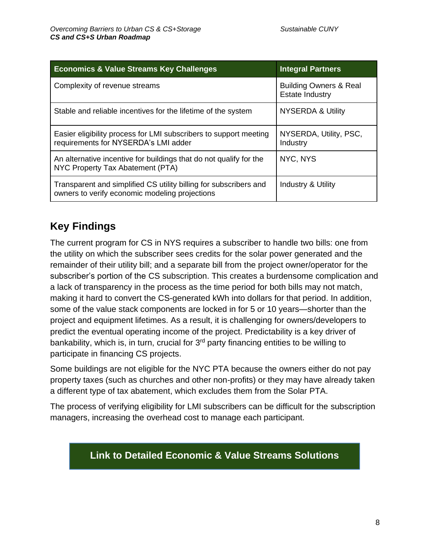| <b>Economics &amp; Value Streams Key Challenges</b>                                                                 | <b>Integral Partners</b>                                    |
|---------------------------------------------------------------------------------------------------------------------|-------------------------------------------------------------|
| Complexity of revenue streams                                                                                       | <b>Building Owners &amp; Real</b><br><b>Estate Industry</b> |
| Stable and reliable incentives for the lifetime of the system                                                       | <b>NYSERDA &amp; Utility</b>                                |
| Easier eligibility process for LMI subscribers to support meeting<br>requirements for NYSERDA's LMI adder           | NYSERDA, Utility, PSC,<br>Industry                          |
| An alternative incentive for buildings that do not qualify for the<br>NYC Property Tax Abatement (PTA)              | NYC, NYS                                                    |
| Transparent and simplified CS utility billing for subscribers and<br>owners to verify economic modeling projections | Industry & Utility                                          |

## **Key Findings**

The current program for CS in NYS requires a subscriber to handle two bills: one from the utility on which the subscriber sees credits for the solar power generated and the remainder of their utility bill; and a separate bill from the project owner/operator for the subscriber's portion of the CS subscription. This creates a burdensome complication and a lack of transparency in the process as the time period for both bills may not match, making it hard to convert the CS-generated kWh into dollars for that period. In addition, some of the value stack components are locked in for 5 or 10 years—shorter than the project and equipment lifetimes. As a result, it is challenging for owners/developers to predict the eventual operating income of the project. Predictability is a key driver of bankability, which is, in turn, crucial for  $3<sup>rd</sup>$  party financing entities to be willing to participate in financing CS projects.

Some buildings are not eligible for the NYC PTA because the owners either do not pay property taxes (such as churches and other non-profits) or they may have already taken a different type of tax abatement, which excludes them from the Solar PTA.

The process of verifying eligibility for LMI subscribers can be difficult for the subscription managers, increasing the overhead cost to manage each participant.

## **Link to Detailed Economic & Value Streams Solutions**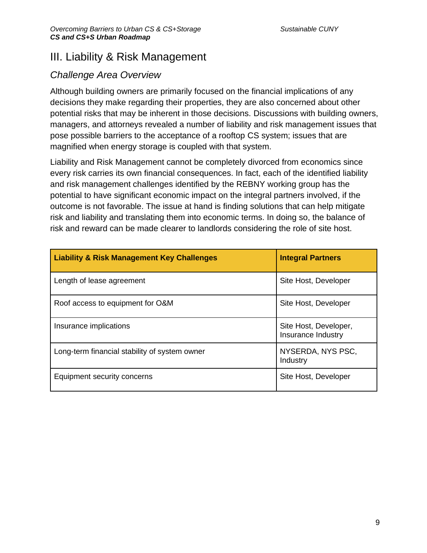## III. Liability & Risk Management

### *Challenge Area Overview*

Although building owners are primarily focused on the financial implications of any decisions they make regarding their properties, they are also concerned about other potential risks that may be inherent in those decisions. Discussions with building owners, managers, and attorneys revealed a number of liability and risk management issues that pose possible barriers to the acceptance of a rooftop CS system; issues that are magnified when energy storage is coupled with that system.

Liability and Risk Management cannot be completely divorced from economics since every risk carries its own financial consequences. In fact, each of the identified liability and risk management challenges identified by the REBNY working group has the potential to have significant economic impact on the integral partners involved, if the outcome is not favorable. The issue at hand is finding solutions that can help mitigate risk and liability and translating them into economic terms. In doing so, the balance of risk and reward can be made clearer to landlords considering the role of site host.

| <b>Liability &amp; Risk Management Key Challenges</b> | <b>Integral Partners</b>                    |
|-------------------------------------------------------|---------------------------------------------|
| Length of lease agreement                             | Site Host, Developer                        |
| Roof access to equipment for O&M                      | Site Host, Developer                        |
| Insurance implications                                | Site Host, Developer,<br>Insurance Industry |
| Long-term financial stability of system owner         | NYSERDA, NYS PSC,<br>Industry               |
| Equipment security concerns                           | Site Host, Developer                        |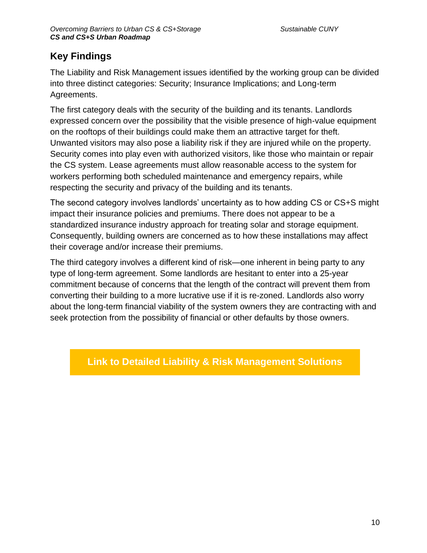## **Key Findings**

The Liability and Risk Management issues identified by the working group can be divided into three distinct categories: Security; Insurance Implications; and Long-term Agreements.

The first category deals with the security of the building and its tenants. Landlords expressed concern over the possibility that the visible presence of high-value equipment on the rooftops of their buildings could make them an attractive target for theft. Unwanted visitors may also pose a liability risk if they are injured while on the property. Security comes into play even with authorized visitors, like those who maintain or repair the CS system. Lease agreements must allow reasonable access to the system for workers performing both scheduled maintenance and emergency repairs, while respecting the security and privacy of the building and its tenants.

The second category involves landlords' uncertainty as to how adding CS or CS+S might impact their insurance policies and premiums. There does not appear to be a standardized insurance industry approach for treating solar and storage equipment. Consequently, building owners are concerned as to how these installations may affect their coverage and/or increase their premiums.

The third category involves a different kind of risk—one inherent in being party to any type of long-term agreement. Some landlords are hesitant to enter into a 25-year commitment because of concerns that the length of the contract will prevent them from converting their building to a more lucrative use if it is re-zoned. Landlords also worry about the long-term financial viability of the system owners they are contracting with and seek protection from the possibility of financial or other defaults by those owners.

### **Link to Detailed Liability & Risk Management Solutions**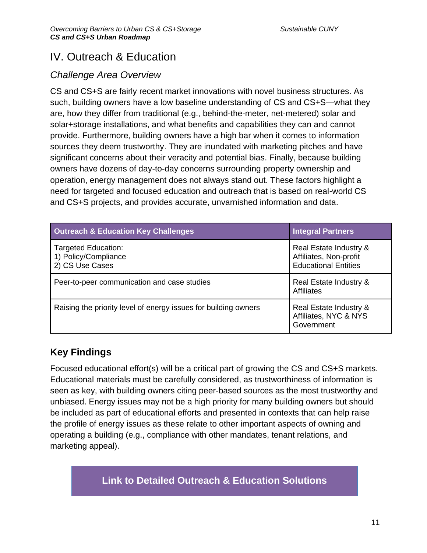## IV. Outreach & Education

### *Challenge Area Overview*

CS and CS+S are fairly recent market innovations with novel business structures. As such, building owners have a low baseline understanding of CS and CS+S—what they are, how they differ from traditional (e.g., behind-the-meter, net-metered) solar and solar+storage installations, and what benefits and capabilities they can and cannot provide. Furthermore, building owners have a high bar when it comes to information sources they deem trustworthy. They are inundated with marketing pitches and have significant concerns about their veracity and potential bias. Finally, because building owners have dozens of day-to-day concerns surrounding property ownership and operation, energy management does not always stand out. These factors highlight a need for targeted and focused education and outreach that is based on real-world CS and CS+S projects, and provides accurate, unvarnished information and data.

| <b>Outreach &amp; Education Key Challenges</b>                        | <b>Integral Partners</b>                                                        |
|-----------------------------------------------------------------------|---------------------------------------------------------------------------------|
| <b>Targeted Education:</b><br>1) Policy/Compliance<br>2) CS Use Cases | Real Estate Industry &<br>Affiliates, Non-profit<br><b>Educational Entities</b> |
| Peer-to-peer communication and case studies                           | Real Estate Industry &<br><b>Affiliates</b>                                     |
| Raising the priority level of energy issues for building owners       | Real Estate Industry &<br>Affiliates, NYC & NYS<br>Government                   |

## **Key Findings**

Focused educational effort(s) will be a critical part of growing the CS and CS+S markets. Educational materials must be carefully considered, as trustworthiness of information is seen as key, with building owners citing peer-based sources as the most trustworthy and unbiased. Energy issues may not be a high priority for many building owners but should be included as part of educational efforts and presented in contexts that can help raise the profile of energy issues as these relate to other important aspects of owning and operating a building (e.g., compliance with other mandates, tenant relations, and marketing appeal).

## **Link to Detailed Outreach & Education Solutions**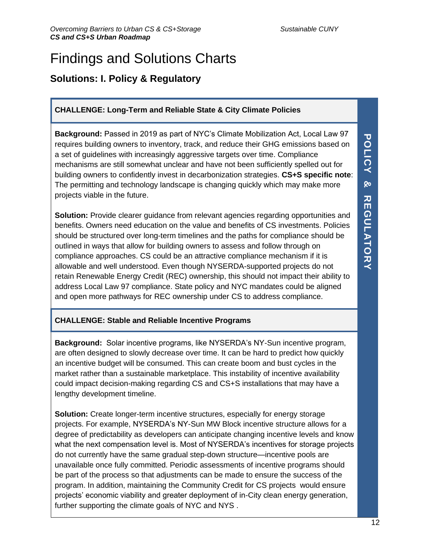## Findings and Solutions Charts

## **Solutions: I. Policy & Regulatory**

### **CHALLENGE: Long-Term and Reliable State & City Climate Policies**

**Background:** Passed in 2019 as part of NYC's Climate Mobilization Act, Local Law 97 requires building owners to inventory, track, and reduce their GHG emissions based on a set of guidelines with increasingly aggressive targets over time. Compliance mechanisms are still somewhat unclear and have not been sufficiently spelled out for building owners to confidently invest in decarbonization strategies. **CS+S specific note**: The permitting and technology landscape is changing quickly which may make more projects viable in the future.

**Solution:** Provide clearer guidance from relevant agencies regarding opportunities and benefits. Owners need education on the value and benefits of CS investments. Policies should be structured over long-term timelines and the paths for compliance should be outlined in ways that allow for building owners to assess and follow through on compliance approaches. CS could be an attractive compliance mechanism if it is allowable and well understood. Even though NYSERDA-supported projects do not retain Renewable Energy Credit (REC) ownership, this should not impact their ability to address Local Law 97 compliance. State policy and NYC mandates could be aligned and open more pathways for REC ownership under CS to address compliance.

### **CHALLENGE: Stable and Reliable Incentive Programs**

**Background:** Solar incentive programs, like NYSERDA's NY-Sun incentive program, are often designed to slowly decrease over time. It can be hard to predict how quickly an incentive budget will be consumed. This can create boom and bust cycles in the market rather than a sustainable marketplace. This instability of incentive availability could impact decision-making regarding CS and CS+S installations that may have a lengthy development timeline.

**Solution:** Create longer-term incentive structures, especially for energy storage projects. For example, NYSERDA's NY-Sun MW Block incentive structure allows for a degree of predictability as developers can anticipate changing incentive levels and know what the next compensation level is. Most of NYSERDA's incentives for storage projects do not currently have the same gradual step-down structure—incentive pools are unavailable once fully committed. Periodic assessments of incentive programs should be part of the process so that adjustments can be made to ensure the success of the program. In addition, maintaining the Community Credit for CS projects would ensure projects' economic viability and greater deployment of in-City clean energy generation, further supporting the climate goals of NYC and NYS .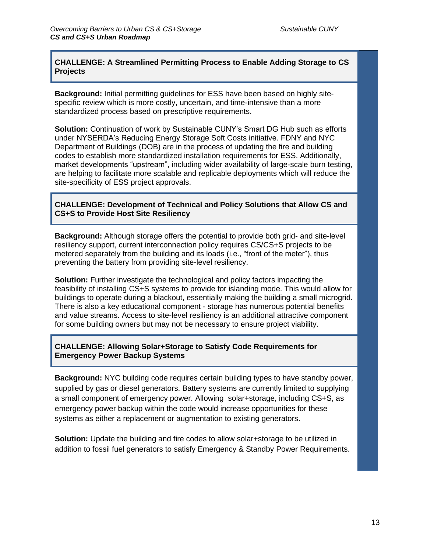### **CHALLENGE: A Streamlined Permitting Process to Enable Adding Storage to CS Projects**

**Background:** Initial permitting guidelines for ESS have been based on highly sitespecific review which is more costly, uncertain, and time-intensive than a more standardized process based on prescriptive requirements.

**Solution:** Continuation of work by Sustainable CUNY's Smart DG Hub such as efforts under NYSERDA's Reducing Energy Storage Soft Costs initiative. FDNY and NYC Department of Buildings (DOB) are in the process of updating the fire and building codes to establish more standardized installation requirements for ESS. Additionally, market developments "upstream", including wider availability of large-scale burn testing, are helping to facilitate more scalable and replicable deployments which will reduce the site-specificity of ESS project approvals.

#### **CHALLENGE: Development of Technical and Policy Solutions that Allow CS and CS+S to Provide Host Site Resiliency**

**Background:** Although storage offers the potential to provide both grid- and site-level resiliency support, current interconnection policy requires CS/CS+S projects to be metered separately from the building and its loads (i.e., "front of the meter"), thus preventing the battery from providing site-level resiliency.

**Solution:** Further investigate the technological and policy factors impacting the feasibility of installing CS+S systems to provide for islanding mode. This would allow for buildings to operate during a blackout, essentially making the building a small microgrid. There is also a key educational component - storage has numerous potential benefits and value streams. Access to site-level resiliency is an additional attractive component for some building owners but may not be necessary to ensure project viability.

#### **CHALLENGE: Allowing Solar+Storage to Satisfy Code Requirements for Emergency Power Backup Systems**

**Background:** NYC building code requires certain building types to have standby power, supplied by gas or diesel generators. Battery systems are currently limited to supplying a small component of emergency power. Allowing solar+storage, including CS+S, as emergency power backup within the code would increase opportunities for these systems as either a replacement or augmentation to existing generators.

**Solution:** Update the building and fire codes to allow solar+storage to be utilized in addition to fossil fuel generators to satisfy Emergency & Standby Power Requirements.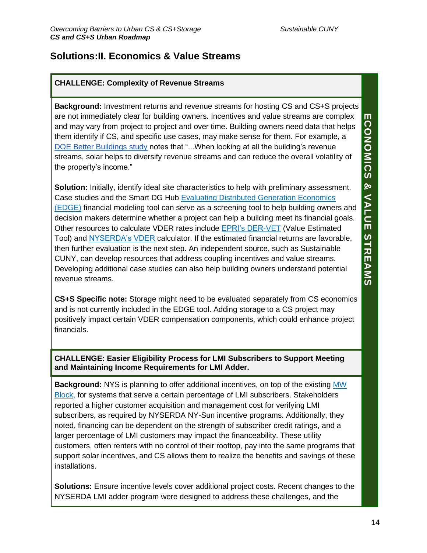### **Solutions:II. Economics & Value Streams**

### **CHALLENGE: Complexity of Revenue Streams**

**ECONOMICS & VALUE STREAMS ECONOMIC**<br>SS er uil<br>lir **Background:** Investment returns and revenue streams for hosting CS and CS+S projects are not immediately clear for building owners. Incentives and value streams are complex and may vary from project to project and over time. Building owners need data that helps them identify if CS, and specific use cases, may make sense for them. For example, a [DOE Better Buildings study](https://betterbuildingssolutioncenter.energy.gov/sites/default/files/attachments/Promoting-Solar-PV-on-Leased-Buildings-Guide-.pdf) notes that "...When looking at all the building's revenue streams, solar helps to diversify revenue streams and can reduce the overall volatility of the property's income."

**Solution:** Initially, identify ideal site characteristics to help with preliminary assessment. Case studies and the Smart DG Hub [Evaluating Distributed Generation Economics](https://nysolarmap.com/resources/community-solar/)  [\(EDGE\)](https://nysolarmap.com/resources/community-solar/) financial modeling tool can serve as a screening tool to help building owners and decision makers determine whether a project can help a building meet its financial goals. Other resources to calculate VDER rates include [EPRI's DER-VET](https://www.der-vet.com/) (Value Estimated Tool) and **NYSERDA's VDER** calculator. If the estimated financial returns are favorable, then further evaluation is the next step. An independent source, such as Sustainable CUNY, can develop resources that address coupling incentives and value streams. Developing additional case studies can also help building owners understand potential revenue streams.

**CS+S Specific note:** Storage might need to be evaluated separately from CS economics and is not currently included in the EDGE tool. Adding storage to a CS project may positively impact certain VDER compensation components, which could enhance project financials.

**CHALLENGE: Easier Eligibility Process for LMI Subscribers to Support Meeting and Maintaining Income Requirements for LMI Adder.**

**Background:** NYS is planning to offer additional incentives, on top of the existing [MW](https://www.nyserda.ny.gov/All-Programs/Programs/NY-Sun/Contractors/Dashboards-and-incentives/ConEd-Dashboard)  [Block,](https://www.nyserda.ny.gov/All-Programs/Programs/NY-Sun/Contractors/Dashboards-and-incentives/ConEd-Dashboard) for systems that serve a certain percentage of LMI subscribers. Stakeholders reported a higher customer acquisition and management cost for verifying LMI subscribers, as required by NYSERDA NY-Sun incentive programs. Additionally, they noted, financing can be dependent on the strength of subscriber credit ratings, and a larger percentage of LMI customers may impact the financeability. These utility customers, often renters with no control of their rooftop, pay into the same programs that support solar incentives, and CS allows them to realize the benefits and savings of these installations.

**Solutions:** Ensure incentive levels cover additional project costs. Recent changes to the NYSERDA LMI adder program were designed to address these challenges, and the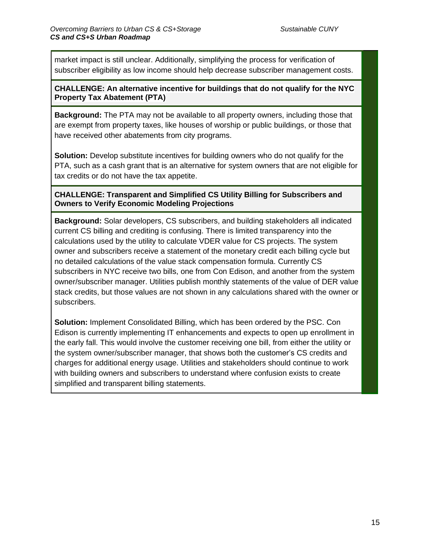market impact is still unclear. Additionally, simplifying the process for verification of subscriber eligibility as low income should help decrease subscriber management costs.

#### **CHALLENGE: An alternative incentive for buildings that do not qualify for the NYC Property Tax Abatement (PTA)**

**Background:** The PTA may not be available to all property owners, including those that are exempt from property taxes, like houses of worship or public buildings, or those that have received other abatements from city programs.

**Solution:** Develop substitute incentives for building owners who do not qualify for the PTA, such as a cash grant that is an alternative for system owners that are not eligible for tax credits or do not have the tax appetite.

### **CHALLENGE: Transparent and Simplified CS Utility Billing for Subscribers and Owners to Verify Economic Modeling Projections**

**Background:** Solar developers, CS subscribers, and building stakeholders all indicated current CS billing and crediting is confusing. There is limited transparency into the calculations used by the utility to calculate VDER value for CS projects. The system owner and subscribers receive a statement of the monetary credit each billing cycle but no detailed calculations of the value stack compensation formula. Currently CS subscribers in NYC receive two bills, one from Con Edison, and another from the system owner/subscriber manager. Utilities publish monthly statements of the value of DER value stack credits, but those values are not shown in any calculations shared with the owner or subscribers.

**Solution:** Implement Consolidated Billing, which has been ordered by the PSC. Con Edison is currently implementing IT enhancements and expects to open up enrollment in the early fall. This would involve the customer receiving one bill, from either the utility or the system owner/subscriber manager, that shows both the customer's CS credits and charges for additional energy usage. Utilities and stakeholders should continue to work with building owners and subscribers to understand where confusion exists to create simplified and transparent billing statements.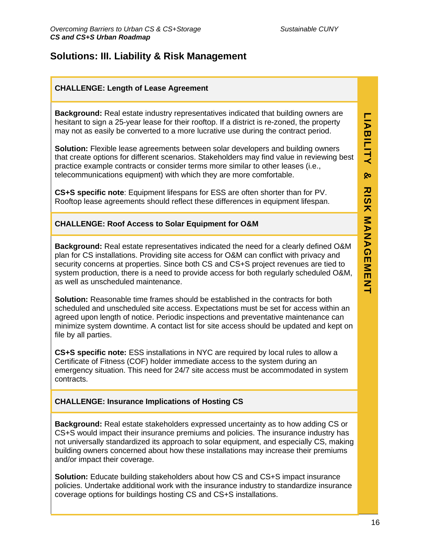## **Solutions: III. Liability & Risk Management**

### **CHALLENGE: Length of Lease Agreement**

**Background:** Real estate industry representatives indicated that building owners are hesitant to sign a 25-year lease for their rooftop. If a district is re-zoned, the property may not as easily be converted to a more lucrative use during the contract period.

**Solution:** Flexible lease agreements between solar developers and building owners that create options for different scenarios. Stakeholders may find value in reviewing best practice example contracts or consider terms more similar to other leases (i.e., telecommunications equipment) with which they are more comfortable.

**CS+S specific note**: Equipment lifespans for ESS are often shorter than for PV. Rooftop lease agreements should reflect these differences in equipment lifespan.

### **CHALLENGE: Roof Access to Solar Equipment for O&M**

**Background:** Real estate representatives indicated the need for a clearly defined O&M plan for CS installations. Providing site access for O&M can conflict with privacy and security concerns at properties. Since both CS and CS+S project revenues are tied to system production, there is a need to provide access for both regularly scheduled O&M, as well as unscheduled maintenance.

**Solution:** Reasonable time frames should be established in the contracts for both scheduled and unscheduled site access. Expectations must be set for access within an agreed upon length of notice. Periodic inspections and preventative maintenance can minimize system downtime. A contact list for site access should be updated and kept on file by all parties.

**CS+S specific note:** ESS installations in NYC are required by local rules to allow a Certificate of Fitness (COF) holder immediate access to the system during an emergency situation. This need for 24/7 site access must be accommodated in system contracts.

### **CHALLENGE: Insurance Implications of Hosting CS**

**Background:** Real estate stakeholders expressed uncertainty as to how adding CS or CS+S would impact their insurance premiums and policies. The insurance industry has not universally standardized its approach to solar equipment, and especially CS, making building owners concerned about how these installations may increase their premiums and/or impact their coverage.

**Solution:** Educate building stakeholders about how CS and CS+S impact insurance policies. Undertake additional work with the insurance industry to standardize insurance coverage options for buildings hosting CS and CS+S installations.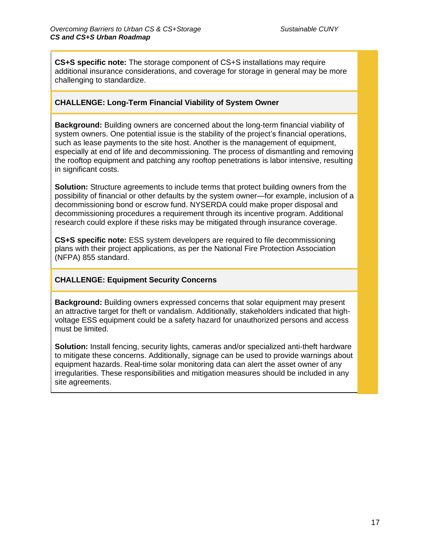**CS+S specific note:** The storage component of CS+S installations may require additional insurance considerations, and coverage for storage in general may be more challenging to standardize.

#### **CHALLENGE: Long-Term Financial Viability of System Owner**

**Background:** Building owners are concerned about the long-term financial viability of system owners. One potential issue is the stability of the project's financial operations, such as lease payments to the site host. Another is the management of equipment, especially at end of life and decommissioning. The process of dismantling and removing the rooftop equipment and patching any rooftop penetrations is labor intensive, resulting in significant costs.

**Solution:** Structure agreements to include terms that protect building owners from the possibility of financial or other defaults by the system owner—for example, inclusion of a decommissioning bond or escrow fund. NYSERDA could make proper disposal and decommissioning procedures a requirement through its incentive program. Additional research could explore if these risks may be mitigated through insurance coverage.

**CS+S specific note:** ESS system developers are required to file decommissioning plans with their project applications, as per the National Fire Protection Association (NFPA) 855 standard.

#### **CHALLENGE: Equipment Security Concerns**

**Background:** Building owners expressed concerns that solar equipment may present an attractive target for theft or vandalism. Additionally, stakeholders indicated that highvoltage ESS equipment could be a safety hazard for unauthorized persons and access must be limited.

**Solution:** Install fencing, security lights, cameras and/or specialized anti-theft hardware to mitigate these concerns. Additionally, signage can be used to provide warnings about equipment hazards. Real-time solar monitoring data can alert the asset owner of any irregularities. These responsibilities and mitigation measures should be included in any site agreements.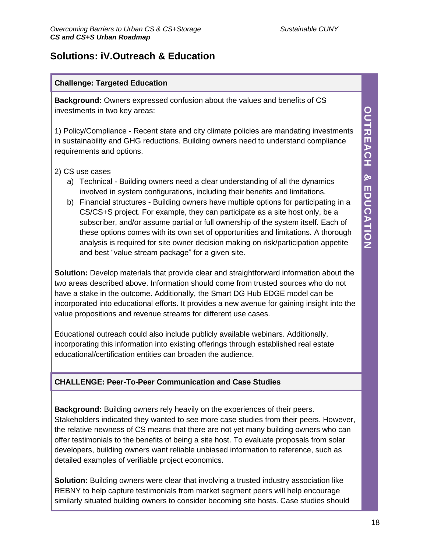## **Solutions: iV.Outreach & Education**

### **Challenge: Targeted Education**

**Background:** Owners expressed confusion about the values and benefits of CS investments in two key areas:

1) Policy/Compliance - Recent state and city climate policies are mandating investments in sustainability and GHG reductions. Building owners need to understand compliance requirements and options.

### 2) CS use cases

- a) Technical Building owners need a clear understanding of all the dynamics involved in system configurations, including their benefits and limitations.
- b) Financial structures Building owners have multiple options for participating in a CS/CS+S project. For example, they can participate as a site host only, be a subscriber, and/or assume partial or full ownership of the system itself. Each of these options comes with its own set of opportunities and limitations. A thorough analysis is required for site owner decision making on risk/participation appetite and best "value stream package" for a given site.

**Solution:** Develop materials that provide clear and straightforward information about the two areas described above. Information should come from trusted sources who do not have a stake in the outcome. Additionally, the Smart DG Hub EDGE model can be incorporated into educational efforts. It provides a new avenue for gaining insight into the value propositions and revenue streams for different use cases.

Educational outreach could also include publicly available webinars. Additionally, incorporating this information into existing offerings through established real estate educational/certification entities can broaden the audience.

### **CHALLENGE: Peer-To-Peer Communication and Case Studies**

**Background:** Building owners rely heavily on the experiences of their peers. Stakeholders indicated they wanted to see more case studies from their peers. However, the relative newness of CS means that there are not yet many building owners who can offer testimonials to the benefits of being a site host. To evaluate proposals from solar developers, building owners want reliable unbiased information to reference, such as detailed examples of verifiable project economics.

**Solution:** Building owners were clear that involving a trusted industry association like REBNY to help capture testimonials from market segment peers will help encourage similarly situated building owners to consider becoming site hosts. Case studies should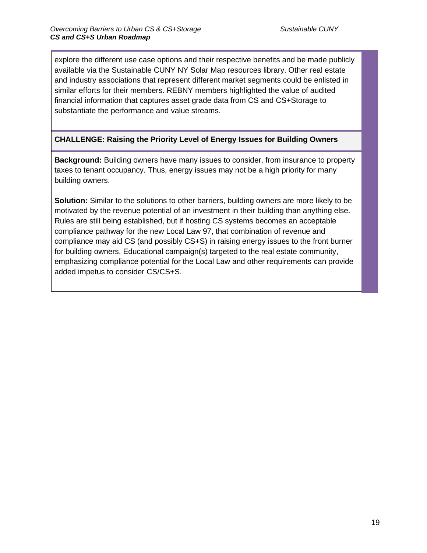explore the different use case options and their respective benefits and be made publicly available via the Sustainable CUNY NY Solar Map resources library. Other real estate and industry associations that represent different market segments could be enlisted in similar efforts for their members. REBNY members highlighted the value of audited financial information that captures asset grade data from CS and CS+Storage to substantiate the performance and value streams.

### **CHALLENGE: Raising the Priority Level of Energy Issues for Building Owners**

**Background:** Building owners have many issues to consider, from insurance to property taxes to tenant occupancy. Thus, energy issues may not be a high priority for many building owners.

**Solution:** Similar to the solutions to other barriers, building owners are more likely to be motivated by the revenue potential of an investment in their building than anything else. Rules are still being established, but if hosting CS systems becomes an acceptable compliance pathway for the new Local Law 97, that combination of revenue and compliance may aid CS (and possibly CS+S) in raising energy issues to the front burner for building owners. Educational campaign(s) targeted to the real estate community, emphasizing compliance potential for the Local Law and other requirements can provide added impetus to consider CS/CS+S.